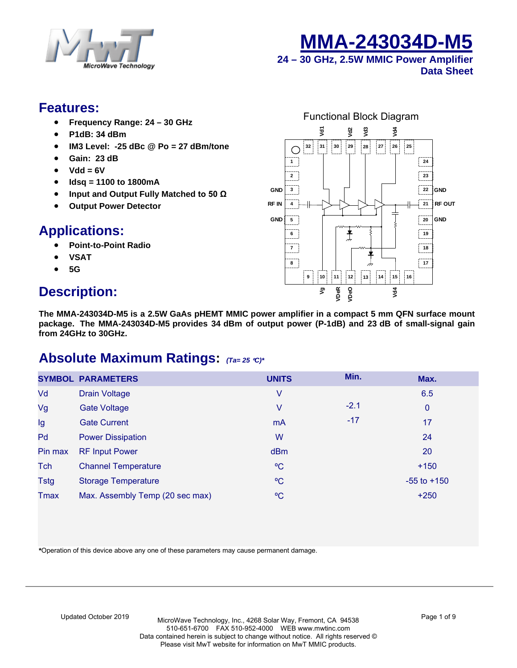



**24 – 30 GHz, 2.5W MMIC Power Amplifier Data Sheet**

### **Features:**

- **Frequency Range: 24 30 GHz**
- **P1dB: 34 dBm**
- **IM3 Level: -25 dBc @ Po = 27 dBm/tone**
- **Gain: 23 dB**
- **Vdd = 6V**
- **Idsq = 1100 to 1800mA**
- **Input and Output Fully Matched to 50 Ω**
- **Output Power Detector**

# **Applications:**

- **Point-to-Point Radio**
- **VSAT**
- **5G**

# **Description:**



**The MMA-243034D-M5 is a 2.5W GaAs pHEMT MMIC power amplifier in a compact 5 mm QFN surface mount package. The MMA-243034D-M5 provides 34 dBm of output power (P-1dB) and 23 dB of small-signal gain from 24GHz to 30GHz.** 

# **Absolute Maximum Ratings:** *(Ta= 25* °*C)\**

|             | <b>SYMBOL PARAMETERS</b>        | <b>UNITS</b> | Min.   | Max.            |
|-------------|---------------------------------|--------------|--------|-----------------|
| Vd          | <b>Drain Voltage</b>            | ٧            |        | 6.5             |
| Vg          | <b>Gate Voltage</b>             | ٧            | $-2.1$ | $\mathbf{0}$    |
| Ig          | <b>Gate Current</b>             | <b>mA</b>    | $-17$  | 17              |
| Pd          | <b>Power Dissipation</b>        | W            |        | 24              |
| Pin max     | <b>RF Input Power</b>           | dBm          |        | 20              |
| Tch         | <b>Channel Temperature</b>      | $\rm ^{o}C$  |        | $+150$          |
| <b>Tstg</b> | <b>Storage Temperature</b>      | $\rm ^{o}C$  |        | $-55$ to $+150$ |
| <b>Tmax</b> | Max. Assembly Temp (20 sec max) | °€           |        | $+250$          |

**\***Operation of this device above any one of these parameters may cause permanent damage.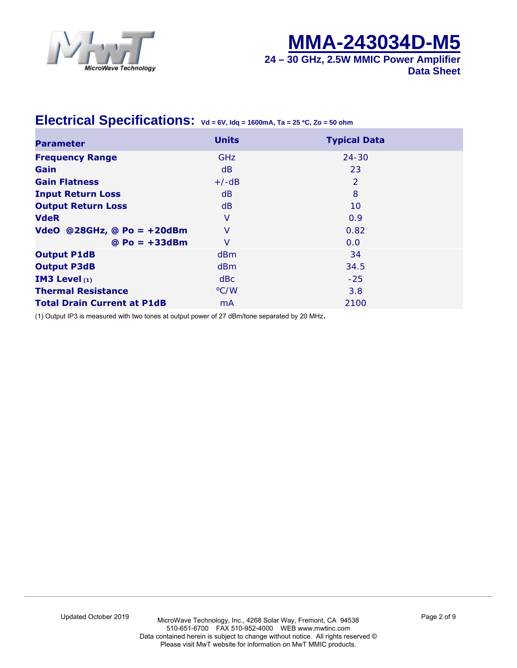



### **Electrical Specifications: Vd = 6V, Idq = 1600mA, Ta = 25** °**C, Zo = 50 ohm**

| <b>Parameter</b>                   | <b>Units</b>   | <b>Typical Data</b> |
|------------------------------------|----------------|---------------------|
| <b>Frequency Range</b>             | <b>GHz</b>     | $24 - 30$           |
| Gain                               | dB             | 23                  |
| <b>Gain Flatness</b>               | $+/-dB$        | 2                   |
| <b>Input Return Loss</b>           | d <sub>B</sub> | 8                   |
| <b>Output Return Loss</b>          | dB             | 10                  |
| <b>VdeR</b>                        | V              | 0.9                 |
| VdeO @28GHz, @ Po = $+20$ dBm      | V              | 0.82                |
| $@ Po = +33dBm$                    | V              | 0.0                 |
| <b>Output P1dB</b>                 | dBm            | 34                  |
| <b>Output P3dB</b>                 | dBm            | 34.5                |
| IM3 Level $(1)$                    | dBc            | $-25$               |
| <b>Thermal Resistance</b>          | °C/W           | 3.8                 |
| <b>Total Drain Current at P1dB</b> | m <sub>A</sub> | 2100                |

(1) Output IP3 is measured with two tones at output power of 27 dBm/tone separated by 20 MHz.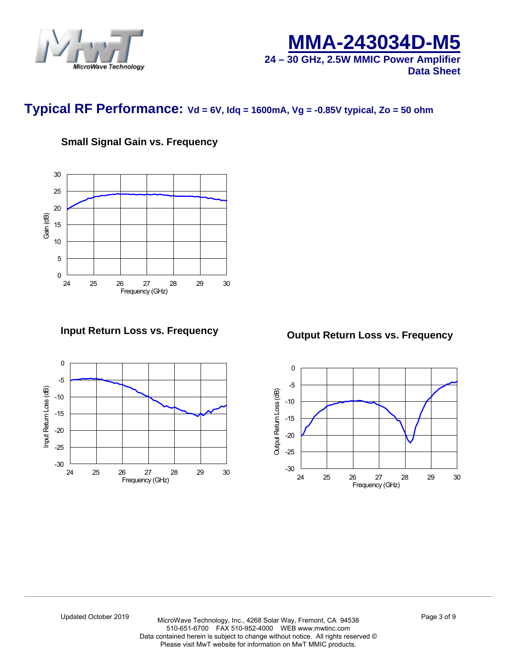



**Data Sheet**

### **Typical RF Performance: Vd = 6V, Idq = 1600mA, Vg = -0.85V typical, Zo = 50 ohm**

### **Small Signal Gain vs. Frequency**



**Input Return Loss vs. Frequency**



**Output Return Loss vs. Frequency**

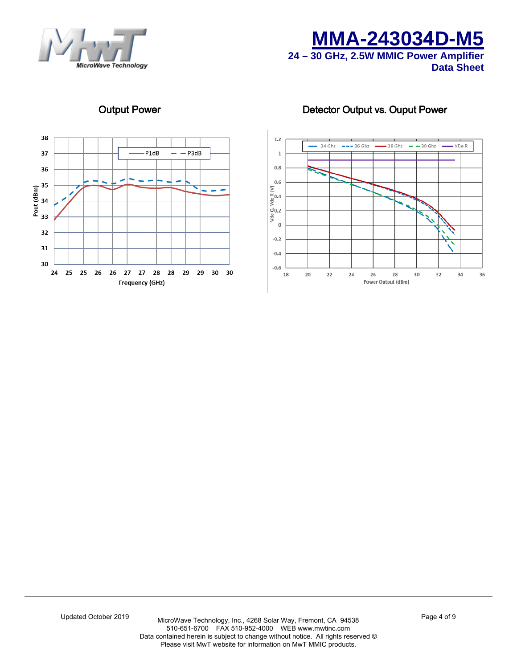





### Output Power **Detector Output vs. Ouput Power**

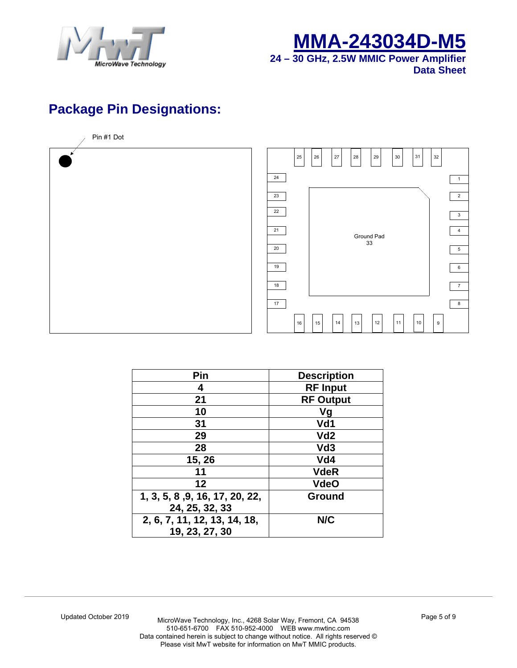



# **Package Pin Designations:**

Pin #1 Dot



| Pin                            | <b>Description</b> |
|--------------------------------|--------------------|
| 4                              | <b>RF Input</b>    |
| 21                             | <b>RF Output</b>   |
| 10                             | Vg                 |
| 31                             | Vd1                |
| 29                             | Vd <sub>2</sub>    |
| 28                             | Vd <sub>3</sub>    |
| 15, 26                         | Vd4                |
| 11                             | <b>VdeR</b>        |
| 12                             | <b>VdeO</b>        |
| 1, 3, 5, 8, 9, 16, 17, 20, 22, | <b>Ground</b>      |
| 24, 25, 32, 33                 |                    |
| 2, 6, 7, 11, 12, 13, 14, 18,   | N/C                |
| 19, 23, 27, 30                 |                    |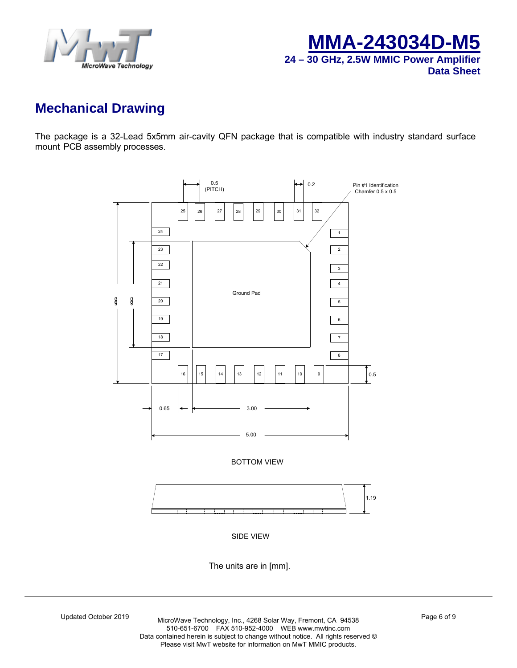



# **Mechanical Drawing**

The package is a 32-Lead 5x5mm air-cavity QFN package that is compatible with industry standard surface mount PCB assembly processes.



The units are in [mm].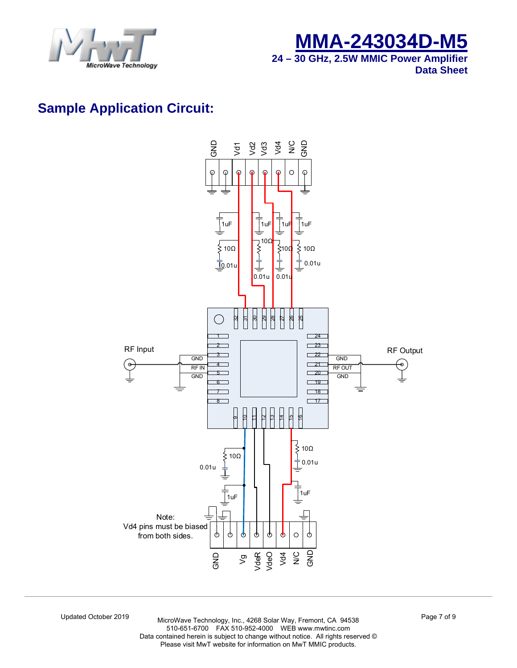



# **Sample Application Circuit:**



Updated October 2019 MicroWave Technology, Inc., 4268 Solar Way, Fremont, CA 94538 510-651-6[700 FAX 510-952](http://www.mwtinc.com/)-4000 WEB www.mwtinc.com Data contained herein is subject to change without notice. All rights reserved © Please visit MwT website for information on MwT MMIC products.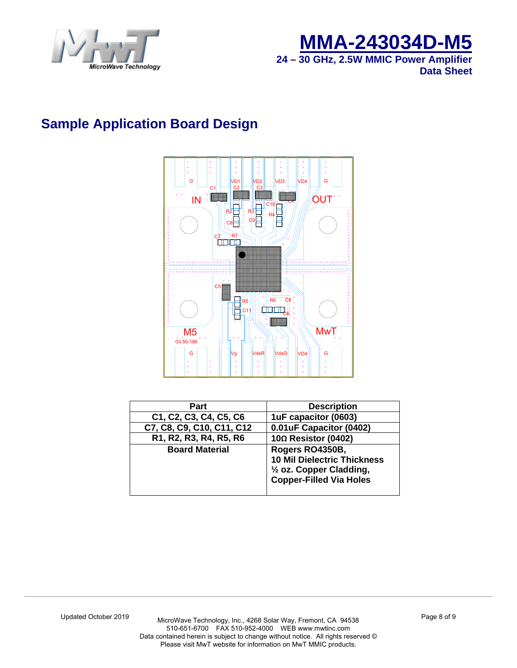



# **Sample Application Board Design**



| Part                      | <b>Description</b>                                                                                                  |
|---------------------------|---------------------------------------------------------------------------------------------------------------------|
| C1, C2, C3, C4, C5, C6    | 1uF capacitor (0603)                                                                                                |
| C7, C8, C9, C10, C11, C12 | 0.01uF Capacitor (0402)                                                                                             |
| R1, R2, R3, R4, R5, R6    | $10\Omega$ Resistor (0402)                                                                                          |
| <b>Board Material</b>     | Rogers RO4350B,<br><b>10 Mil Dielectric Thickness</b><br>1/2 oz. Copper Cladding,<br><b>Copper-Filled Via Holes</b> |